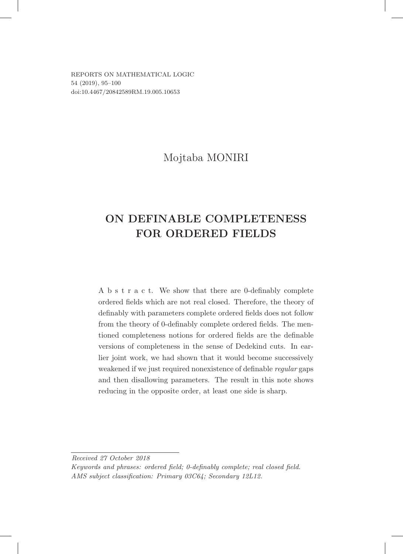REPORTS ON MATHEMATICAL LOGIC 54 (2019), 95–100 doi:10.4467/20842589RM.19.005.10653

## Mojtaba MONIRI

# ON DEFINABLE COMPLETENESS FOR ORDERED FIELDS

A b s t r a c t. We show that there are 0-definably complete ordered fields which are not real closed. Therefore, the theory of definably with parameters complete ordered fields does not follow from the theory of 0-definably complete ordered fields. The mentioned completeness notions for ordered fields are the definable versions of completeness in the sense of Dedekind cuts. In earlier joint work, we had shown that it would become successively weakened if we just required nonexistence of definable regular gaps and then disallowing parameters. The result in this note shows reducing in the opposite order, at least one side is sharp.

Received 27 October 2018

Keywords and phrases: ordered field; 0-definably complete; real closed field. AMS subject classification: Primary 03C64; Secondary 12L12.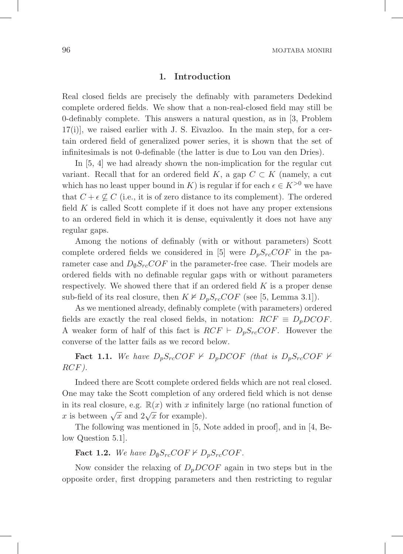#### .1 Introduction

Real closed fields are precisely the definably with parameters Dedekind complete ordered fields. We show that a non-real-closed field may still be 0-definably complete. This answers a natural question, as in [3, Problem  $17(i)$ , we raised earlier with J. S. Eivazloo. In the main step, for a certain ordered field of generalized power series, it is shown that the set of infinitesimals is not 0-definable (the latter is due to Lou van den Dries).

In [5, 4] we had already shown the non-implication for the regular cut variant. Recall that for an ordered field K, a gap  $C \subset K$  (namely, a cut which has no least upper bound in K) is regular if for each  $\epsilon \in K^{>0}$  we have that  $C + \epsilon \nsubseteq C$  (i.e., it is of zero distance to its complement). The ordered field  $K$  is called Scott complete if it does not have any proper extensions to an ordered field in which it is dense, equivalently it does not have any regular gaps.

Among the notions of definably (with or without parameters) Scott complete ordered fields we considered in [5] were  $D_pS_{rc}COF$  in the parameter case and  $D_{\emptyset} S_{rc} COF$  in the parameter-free case. Their models are ordered fields with no definable regular gaps with or without parameters respectively. We showed there that if an ordered field  $K$  is a proper dense sub-field of its real closure, then  $K \not\models D_pS_{rc}COF$  (see [5, Lemma 3.1]).

As we mentioned already, definably complete (with parameters) ordered fields are exactly the real closed fields, in notation:  $RCF \equiv D_pDCOF$ . A weaker form of half of this fact is  $RCF \vdash D_pS_{rc}COF$ . However the converse of the latter fails as we record below.

**Fact 1.1.** We have  $D_pS_{rc}COF \nvdash D_pDCOF$  (that is  $D_pS_{rc}COF \nvdash$ RCF).

Indeed there are Scott complete ordered fields which are not real closed. One may take the Scott completion of any ordered field which is not dense in its real closure, e.g.  $\mathbb{R}(x)$  with x infinitely large (no rational function of x is between  $\sqrt{x}$  and  $2\sqrt{x}$  for example).

The following was mentioned in [5, Note added in proof], and in [4, Below Question 5.1].

## Fact 1.2. We have  $D_{\emptyset}S_{rc}COF \nvdash D_pS_{rc}COF$ .

Now consider the relaxing of  $D_pDCOF$  again in two steps but in the opposite order, first dropping parameters and then restricting to regular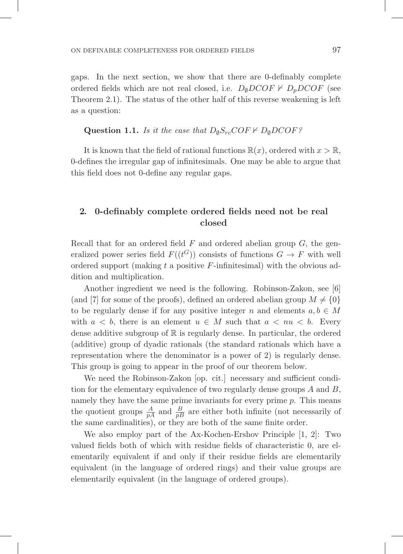gaps. In the next section, we show that there are 0-definably complete ordered fields which are not real closed, i.e.  $D_{\emptyset}DCOF \nvdash D_{\emptyset}DCOF$  (see Theorem 2.1). The status of the other half of this reverse weakening is left as a question:

**Question 1.1.** Is it the case that  $D_{\emptyset}S_{rc}COF \nvdash D_{\emptyset}DCOF$ ?

It is known that the field of rational functions  $\mathbb{R}(x)$ , ordered with  $x > \mathbb{R}$ , 0-defines the irregular gap of infinitesimals. One may be able to argue that this field does not 0-define any regular gaps.

### .2 0-definably complete ordered fields need not be real closed

Recall that for an ordered field  $F$  and ordered abelian group  $G$ , the generalized power series field  $F((t^G))$  consists of functions  $G \to F$  with well ordered support (making  $t$  a positive  $F$ -infinitesimal) with the obvious addition and multiplication.

Another ingredient we need is the following. Robinson-Zakon, see [6] (and [7] for some of the proofs), defined an ordered abelian group  $M \neq \{0\}$ to be regularly dense if for any positive integer n and elements  $a, b \in M$ with  $a < b$ , there is an element  $u \in M$  such that  $a < nu < b$ . Every dense additive subgroup of  $\mathbb R$  is regularly dense. In particular, the ordered (additive) group of dyadic rationals (the standard rationals which have a representation where the denominator is a power of 2) is regularly dense. This group is going to appear in the proof of our theorem below.

We need the Robinson-Zakon [op. cit.] necessary and sufficient condition for the elementary equivalence of two regularly dense groups A and B, namely they have the same prime invariants for every prime  $p$ . This means the quotient groups  $\frac{A}{pA}$  and  $\frac{B}{pB}$  are either both infinite (not necessarily of the same cardinalities), or they are both of the same finite order.

We also employ part of the Ax-Kochen-Ershov Principle [1, 2]: Two valued fields both of which with residue fields of characteristic 0, are elementarily equivalent if and only if their residue fields are elementarily equivalent (in the language of ordered rings) and their value groups are elementarily equivalent (in the language of ordered groups).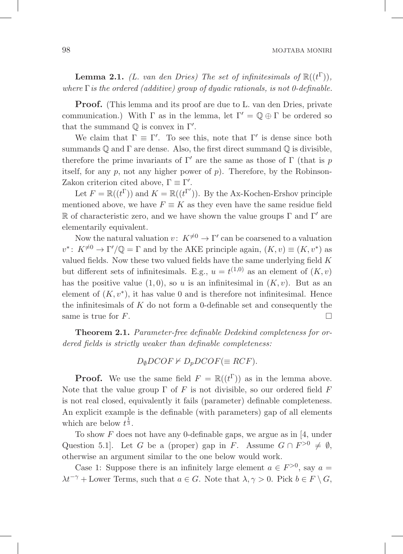**Lemma 2.1.** (L. van den Dries) The set of infinitesimals of  $\mathbb{R}((t^{\Gamma})),$ where  $\Gamma$  is the ordered (additive) group of dyadic rationals, is not 0-definable.

Proof. (This lemma and its proof are due to L. van den Dries, private communication.) With  $\Gamma$  as in the lemma, let  $\Gamma' = \mathbb{Q} \oplus \Gamma$  be ordered so that the summand  $\mathbb Q$  is convex in  $\Gamma'$ .

We claim that  $\Gamma \equiv \Gamma'$ . To see this, note that  $\Gamma'$  is dense since both summands  $\mathbb Q$  and  $\Gamma$  are dense. Also, the first direct summand  $\mathbb Q$  is divisible, therefore the prime invariants of  $\Gamma'$  are the same as those of  $\Gamma$  (that is p itself, for any  $p$ , not any higher power of  $p$ ). Therefore, by the Robinson-Zakon criterion cited above,  $\Gamma \equiv \Gamma'$ .

Let  $F = \mathbb{R}((t^{\Gamma}))$  and  $K = \mathbb{R}((t^{\Gamma'}))$ . By the Ax-Kochen-Ershov principle mentioned above, we have  $F \equiv K$  as they even have the same residue field R of characteristic zero, and we have shown the value groups  $\Gamma$  and  $\Gamma'$  are elementarily equivalent.

Now the natural valuation  $v: K^{\neq 0} \to \Gamma'$  can be coarsened to a valuation  $v^*$ :  $K^{\neq 0} \to \Gamma' / \mathbb{Q} = \Gamma$  and by the AKE principle again,  $(K, v) \equiv (K, v^*)$  as valued fields. Now these two valued fields have the same underlying field  $K$ but different sets of infinitesimals. E.g.,  $u = t^{(1,0)}$  as an element of  $(K, v)$ has the positive value  $(1, 0)$ , so u is an infinitesimal in  $(K, v)$ . But as an element of  $(K, v^*)$ , it has value 0 and is therefore not infinitesimal. Hence the infinitesimals of  $K$  do not form a 0-definable set and consequently the same is true for  $F$ .

Theorem 2.1. Parameter-free definable Dedekind completeness for ordered fields is strictly weaker than definable completeness:

$$
D_{\emptyset}DCOF \nvdash D_pDCOF (\equiv RCF).
$$

**Proof.** We use the same field  $F = \mathbb{R}((t^{\Gamma}))$  as in the lemma above. Note that the value group  $\Gamma$  of F is not divisible, so our ordered field F is not real closed, equivalently it fails (parameter) definable completeness. An explicit example is the definable (with parameters) gap of all elements which are below  $t^{\frac{1}{3}}$ .

To show F does not have any 0-definable gaps, we argue as in [4, under Question 5.1]. Let G be a (proper) gap in F. Assume  $G \cap F^{>0} \neq \emptyset$ , otherwise an argument similar to the one below would work.

Case 1: Suppose there is an infinitely large element  $a \in F^{>0}$ , say  $a =$  $\lambda t^{-\gamma}$  + Lower Terms, such that  $a \in G$ . Note that  $\lambda, \gamma > 0$ . Pick  $b \in F \setminus G$ ,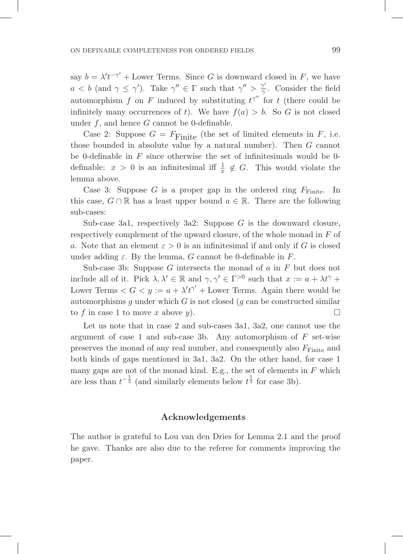say  $b = \lambda' t^{-\gamma'} +$  Lower Terms. Since G is downward closed in F, we have  $a < b$  (and  $\gamma \leq \gamma'$ ). Take  $\gamma'' \in \Gamma$  such that  $\gamma'' > \frac{\gamma'}{\gamma}$ . Consider the field automorphism f on F induced by substituting  $t^{\gamma''}$  for t (there could be infinitely many occurrences of t). We have  $f(a) > b$ . So G is not closed under  $f$ , and hence  $G$  cannot be 0-definable.

Case 2: Suppose  $G = F<sub>Finite</sub>$  (the set of limited elements in F, i.e. those bounded in absolute value by a natural number). Then G cannot be 0-definable in  $F$  since otherwise the set of infinitesimals would be 0definable:  $x > 0$  is an infinitesimal iff  $\frac{1}{x} \notin G$ . This would violate the lemma above.

Case 3: Suppose G is a proper gap in the ordered ring  $F_{\text{Finite}}$ . In this case,  $G \cap \mathbb{R}$  has a least upper bound  $a \in \mathbb{R}$ . There are the following sub-cases:

Sub-case 3a1, respectively 3a2: Suppose  $G$  is the downward closure, respectively complement of the upward closure, of the whole monad in F of a. Note that an element  $\varepsilon > 0$  is an infinitesimal if and only if G is closed under adding  $\varepsilon$ . By the lemma, G cannot be 0-definable in F.

Sub-case 3b: Suppose  $G$  intersects the monad of  $a$  in  $F$  but does not include all of it. Pick  $\lambda, \lambda' \in \mathbb{R}$  and  $\gamma, \gamma' \in \Gamma^{>0}$  such that  $x := a + \lambda t^{\gamma} +$ Lower Terms  $\langle G \rangle = a + \lambda' t^{\gamma'} +$  Lower Terms. Again there would be automorphisms q under which  $G$  is not closed (q can be constructed similar to f in case 1 to move x above y).

Let us note that in case 2 and sub-cases 3a1, 3a2, one cannot use the argument of case 1 and sub-case 3b. Any automorphism of  $F$  set-wise preserves the monad of any real number, and consequently also  $F_{\text{Finite}}$  and both kinds of gaps mentioned in 3a1, 3a2. On the other hand, for case 1 many gaps are not of the monad kind. E.g., the set of elements in  $F$  which are less than  $t^{-\frac{1}{3}}$  (and similarly elements below  $t^{\frac{1}{3}}$  for case 3b).

### .Acknowledgements

The author is grateful to Lou van den Dries for Lemma 2.1 and the proof he gave. Thanks are also due to the referee for comments improving the paper.